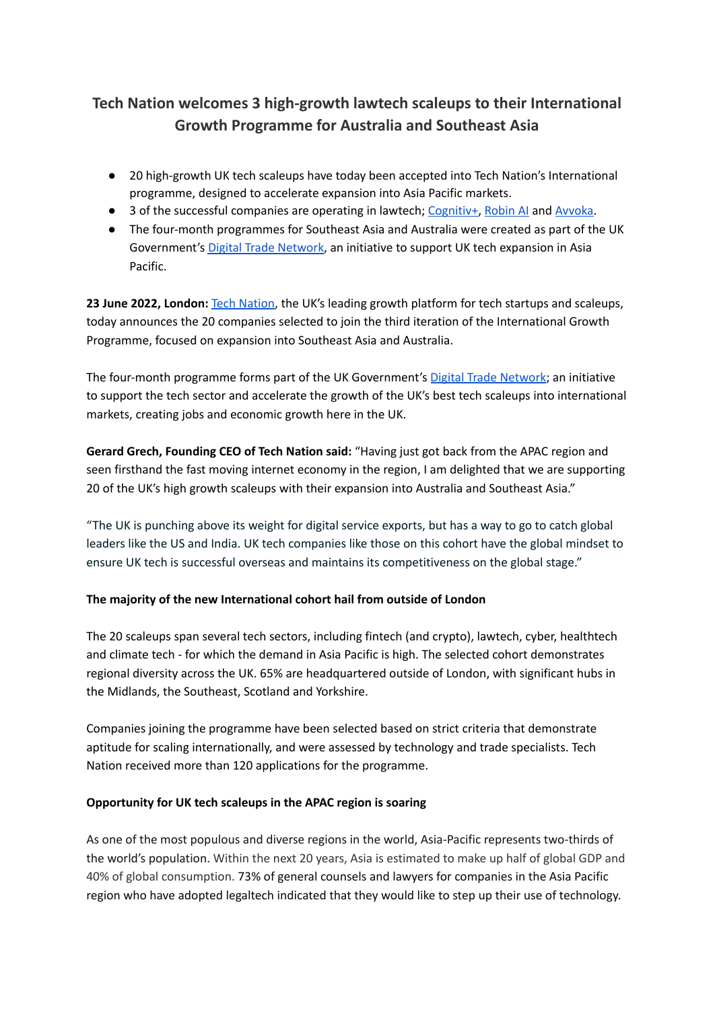# **Tech Nation welcomes 3 high-growth lawtech scaleups to their International Growth Programme for Australia and Southeast Asia**

- 20 high-growth UK tech scaleups have today been accepted into Tech Nation's International programme, designed to accelerate expansion into Asia Pacific markets.
- 3 of the successful companies are operating in lawtech; [Cognitiv+,](https://cognitivplus.com/) [Robin](https://www.robinai.co.uk/) AI and [Avvoka.](https://avvoka.com/)
- The four-month programmes for Southeast Asia and Australia were created as part of the UK Government's Digital Trade [Network](https://technation.io/resources/digital-trade-network-in-asia-pacific/), an initiative to support UK tech expansion in Asia Pacific.

**23 June 2022, London:** Tech [Nation](https://technation.io/), the UK's leading growth platform for tech startups and scaleups, today announces the 20 companies selected to join the third iteration of the International Growth Programme, focused on expansion into Southeast Asia and Australia.

The four-month programme forms part of the UK Government's Digital Trade [Network](https://technation.io/resources/digital-trade-network-in-asia-pacific/); an initiative to support the tech sector and accelerate the growth of the UK's best tech scaleups into international markets, creating jobs and economic growth here in the UK.

**Gerard Grech, Founding CEO of Tech Nation said:** "Having just got back from the APAC region and seen firsthand the fast moving internet economy in the region, I am delighted that we are supporting 20 of the UK's high growth scaleups with their expansion into Australia and Southeast Asia."

"The UK is punching above its weight for digital service exports, but has a way to go to catch global leaders like the US and India. UK tech companies like those on this cohort have the global mindset to ensure UK tech is successful overseas and maintains its competitiveness on the global stage."

# **The majority of the new International cohort hail from outside of London**

The 20 scaleups span several tech sectors, including fintech (and crypto), lawtech, cyber, healthtech and climate tech - for which the demand in Asia Pacific is high. The selected cohort demonstrates regional diversity across the UK. 65% are headquartered outside of London, with significant hubs in the Midlands, the Southeast, Scotland and Yorkshire.

Companies joining the programme have been selected based on strict criteria that demonstrate aptitude for scaling internationally, and were assessed by technology and trade specialists. Tech Nation received more than 120 applications for the programme.

# **Opportunity for UK tech scaleups in the APAC region is soaring**

As one of the most populous and diverse regions in the world, Asia-Pacific represents two-thirds of the world's population. Within the next 20 years, Asia is estimated to make up half of global GDP and 40% of global consumption. 73% of general counsels and lawyers for companies in the Asia Pacific region who have adopted legaltech indicated that they would like to step up their use of technology.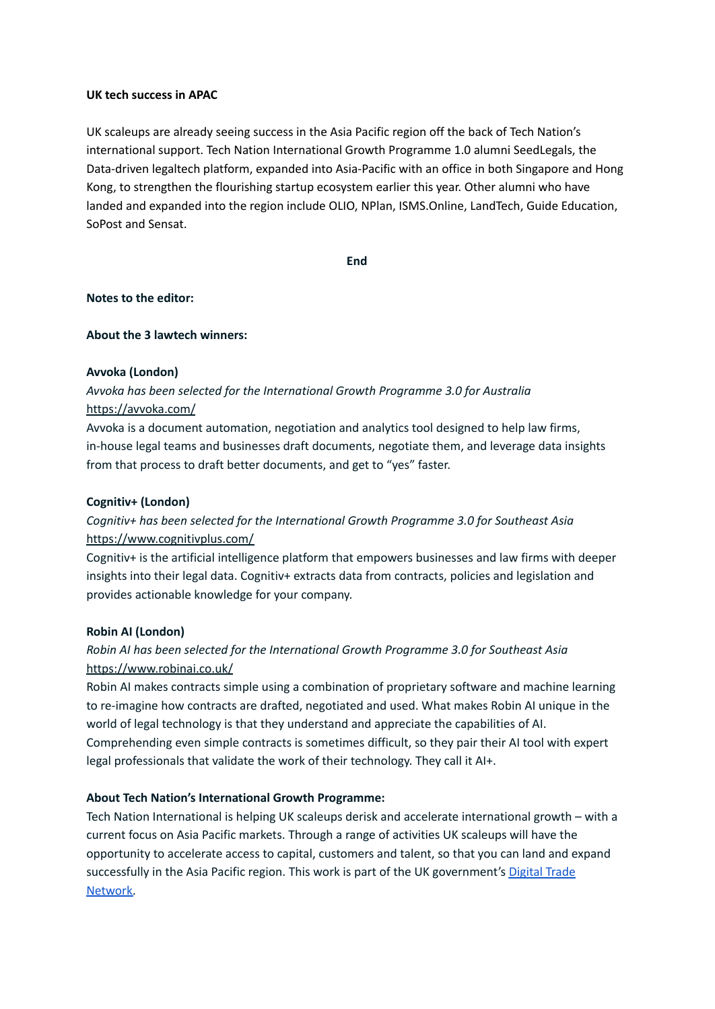### **UK tech success in APAC**

UK scaleups are already seeing success in the Asia Pacific region off the back of Tech Nation's international support. Tech Nation International Growth Programme 1.0 alumni SeedLegals, the Data-driven legaltech platform, expanded into Asia-Pacific with an office in both Singapore and Hong Kong, to strengthen the flourishing startup ecosystem earlier this year. Other alumni who have landed and expanded into the region include OLIO, NPlan, ISMS.Online, LandTech, Guide Education, SoPost and Sensat.

**End**

### **Notes to the editor:**

### **About the 3 lawtech winners:**

### **Avvoka (London)**

# *Avvoka has been selected for the International Growth Programme 3.0 for Australia* <https://avvoka.com/>

Avvoka is a document automation, negotiation and analytics tool designed to help law firms, in-house legal teams and businesses draft documents, negotiate them, and leverage data insights from that process to draft better documents, and get to "yes" faster.

### **Cognitiv+ (London)**

# *Cognitiv+ has been selected for the International Growth Programme 3.0 for Southeast Asia* <https://www.cognitivplus.com/>

Cognitiv+ is the artificial intelligence platform that empowers businesses and law firms with deeper insights into their legal data. Cognitiv+ extracts data from contracts, policies and legislation and provides actionable knowledge for your company.

### **Robin AI (London)**

# *Robin AI has been selected for the International Growth Programme 3.0 for Southeast Asia* <https://www.robinai.co.uk/>

Robin AI makes contracts simple using a combination of proprietary software and machine learning to re-imagine how contracts are drafted, negotiated and used. What makes Robin AI unique in the world of legal technology is that they understand and appreciate the capabilities of AI. Comprehending even simple contracts is sometimes difficult, so they pair their AI tool with expert legal professionals that validate the work of their technology. They call it AI+.

### **About Tech Nation's International Growth Programme:**

Tech Nation International is helping UK scaleups derisk and accelerate international growth – with a current focus on Asia Pacific markets. Through a range of activities UK scaleups will have the opportunity to accelerate access to capital, customers and talent, so that you can land and expand successfully in the Asia Pacific region. This work is part of the UK government's [Digital](https://technation.io/news/uk-scaleups-asia-pacific/) Trade [Network.](https://technation.io/news/uk-scaleups-asia-pacific/)